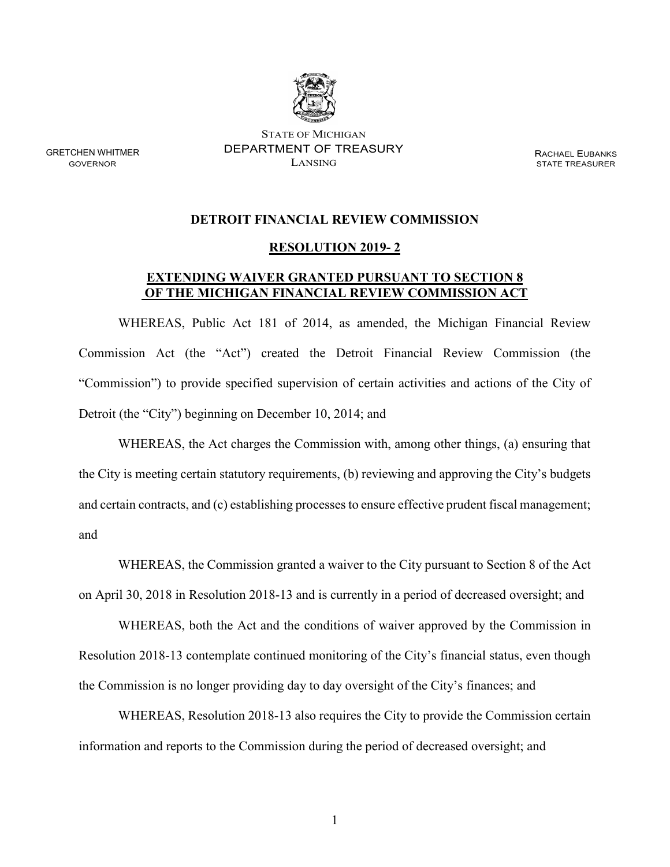

STATE OF MICHIGAN GRETCHEN WHITMER DEPARTMENT OF TREASURY RACHAEL EUBANKS

**STATE TREASURER** 

## **DETROIT FINANCIAL REVIEW COMMISSION**

## **RESOLUTION 2019- 2**

## **EXTENDING WAIVER GRANTED PURSUANT TO SECTION 8 OF THE MICHIGAN FINANCIAL REVIEW COMMISSION ACT**

WHEREAS, Public Act 181 of 2014, as amended, the Michigan Financial Review Commission Act (the "Act") created the Detroit Financial Review Commission (the "Commission") to provide specified supervision of certain activities and actions of the City of Detroit (the "City") beginning on December 10, 2014; and

WHEREAS, the Act charges the Commission with, among other things, (a) ensuring that the City is meeting certain statutory requirements, (b) reviewing and approving the City's budgets and certain contracts, and (c) establishing processes to ensure effective prudent fiscal management; and

WHEREAS, the Commission granted a waiver to the City pursuant to Section 8 of the Act on April 30, 2018 in Resolution 2018-13 and is currently in a period of decreased oversight; and

WHEREAS, both the Act and the conditions of waiver approved by the Commission in Resolution 2018-13 contemplate continued monitoring of the City's financial status, even though the Commission is no longer providing day to day oversight of the City's finances; and

WHEREAS, Resolution 2018-13 also requires the City to provide the Commission certain information and reports to the Commission during the period of decreased oversight; and

1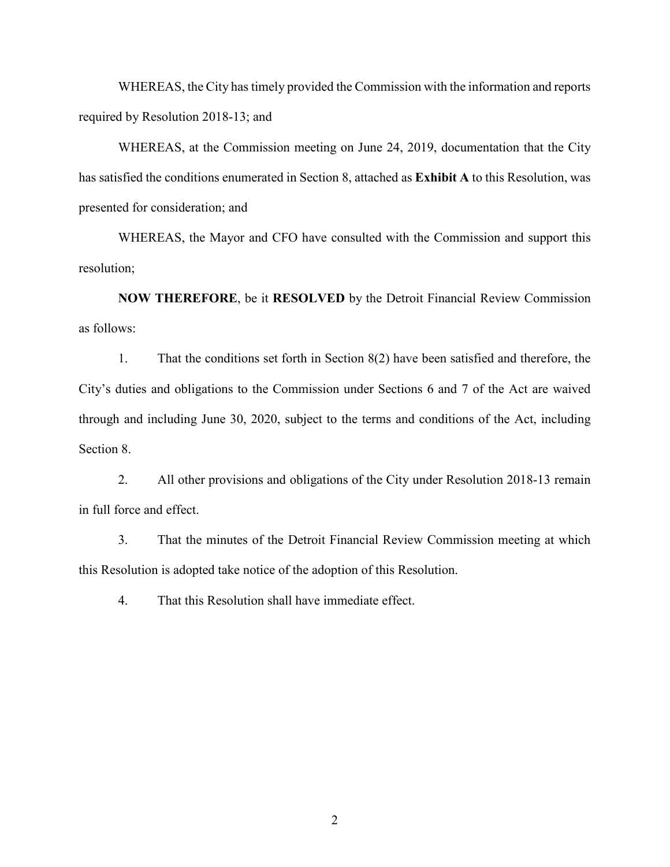WHEREAS, the City has timely provided the Commission with the information and reports required by Resolution 2018-13; and

WHEREAS, at the Commission meeting on June 24, 2019, documentation that the City has satisfied the conditions enumerated in Section 8, attached as **Exhibit A** to this Resolution, was presented for consideration; and

WHEREAS, the Mayor and CFO have consulted with the Commission and support this resolution;

**NOW THEREFORE**, be it **RESOLVED** by the Detroit Financial Review Commission as follows:

1. That the conditions set forth in Section 8(2) have been satisfied and therefore, the City's duties and obligations to the Commission under Sections 6 and 7 of the Act are waived through and including June 30, 2020, subject to the terms and conditions of the Act, including Section 8.

2. All other provisions and obligations of the City under Resolution 2018-13 remain in full force and effect.

3. That the minutes of the Detroit Financial Review Commission meeting at which this Resolution is adopted take notice of the adoption of this Resolution.

4. That this Resolution shall have immediate effect.

2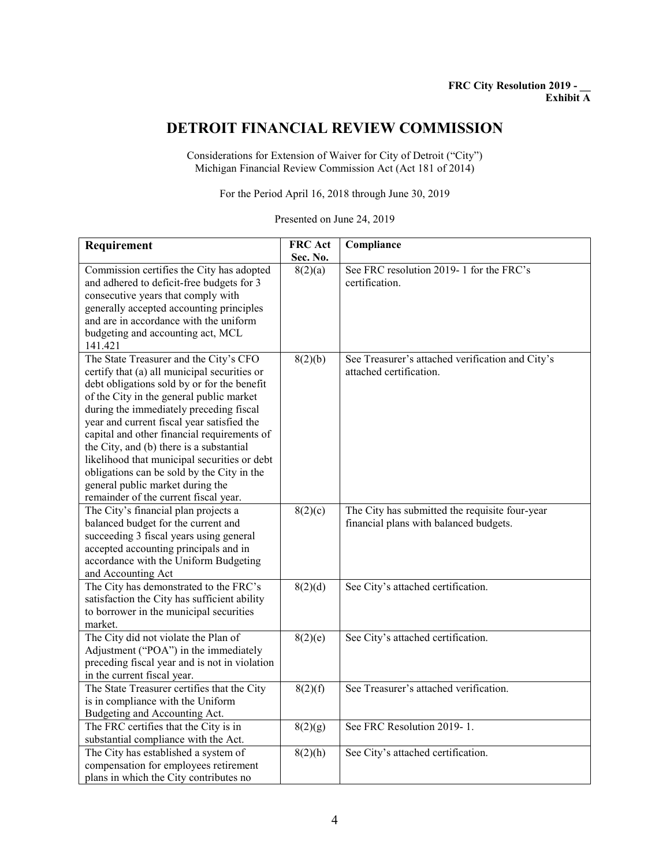## **DETROIT FINANCIAL REVIEW COMMISSION**

Considerations for Extension of Waiver for City of Detroit ("City") Michigan Financial Review Commission Act (Act 181 of 2014)

For the Period April 16, 2018 through June 30, 2019

Presented on June 24, 2019

| Requirement                                   | <b>FRC</b> Act | Compliance                                       |
|-----------------------------------------------|----------------|--------------------------------------------------|
|                                               | Sec. No.       |                                                  |
| Commission certifies the City has adopted     | 8(2)(a)        | See FRC resolution 2019-1 for the FRC's          |
| and adhered to deficit-free budgets for 3     |                | certification.                                   |
| consecutive years that comply with            |                |                                                  |
| generally accepted accounting principles      |                |                                                  |
| and are in accordance with the uniform        |                |                                                  |
| budgeting and accounting act, MCL             |                |                                                  |
| 141.421                                       |                |                                                  |
| The State Treasurer and the City's CFO        | 8(2)(b)        | See Treasurer's attached verification and City's |
| certify that (a) all municipal securities or  |                | attached certification.                          |
| debt obligations sold by or for the benefit   |                |                                                  |
| of the City in the general public market      |                |                                                  |
| during the immediately preceding fiscal       |                |                                                  |
| year and current fiscal year satisfied the    |                |                                                  |
| capital and other financial requirements of   |                |                                                  |
| the City, and (b) there is a substantial      |                |                                                  |
| likelihood that municipal securities or debt  |                |                                                  |
| obligations can be sold by the City in the    |                |                                                  |
| general public market during the              |                |                                                  |
| remainder of the current fiscal year.         |                |                                                  |
| The City's financial plan projects a          | 8(2)(c)        | The City has submitted the requisite four-year   |
| balanced budget for the current and           |                | financial plans with balanced budgets.           |
| succeeding 3 fiscal years using general       |                |                                                  |
| accepted accounting principals and in         |                |                                                  |
| accordance with the Uniform Budgeting         |                |                                                  |
| and Accounting Act                            |                |                                                  |
| The City has demonstrated to the FRC's        | 8(2)(d)        | See City's attached certification.               |
| satisfaction the City has sufficient ability  |                |                                                  |
| to borrower in the municipal securities       |                |                                                  |
| market.                                       |                |                                                  |
| The City did not violate the Plan of          | 8(2)(e)        | See City's attached certification.               |
| Adjustment ("POA") in the immediately         |                |                                                  |
| preceding fiscal year and is not in violation |                |                                                  |
| in the current fiscal year.                   |                |                                                  |
| The State Treasurer certifies that the City   | 8(2)(f)        | See Treasurer's attached verification.           |
| is in compliance with the Uniform             |                |                                                  |
| Budgeting and Accounting Act.                 |                |                                                  |
| The FRC certifies that the City is in         | 8(2)(g)        | See FRC Resolution 2019-1.                       |
| substantial compliance with the Act.          |                |                                                  |
| The City has established a system of          | 8(2)(h)        | See City's attached certification.               |
| compensation for employees retirement         |                |                                                  |
| plans in which the City contributes no        |                |                                                  |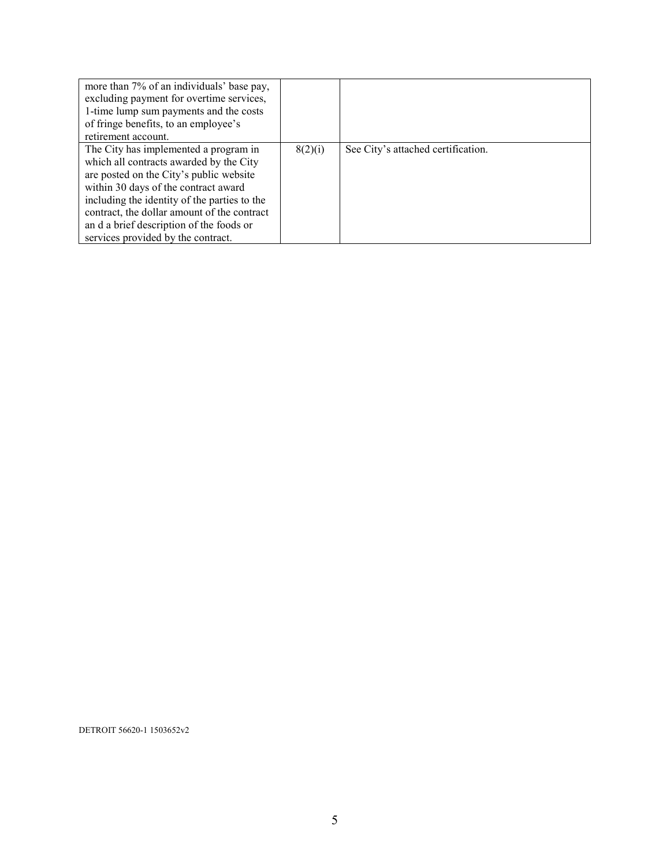| more than 7% of an individuals' base pay,    |         |                                    |
|----------------------------------------------|---------|------------------------------------|
| excluding payment for overtime services,     |         |                                    |
| 1-time lump sum payments and the costs       |         |                                    |
| of fringe benefits, to an employee's         |         |                                    |
| retirement account.                          |         |                                    |
| The City has implemented a program in        | 8(2)(i) | See City's attached certification. |
| which all contracts awarded by the City      |         |                                    |
| are posted on the City's public website      |         |                                    |
| within 30 days of the contract award         |         |                                    |
| including the identity of the parties to the |         |                                    |
| contract, the dollar amount of the contract  |         |                                    |
| an d a brief description of the foods or     |         |                                    |
| services provided by the contract.           |         |                                    |

DETROIT 56620-1 1503652v2